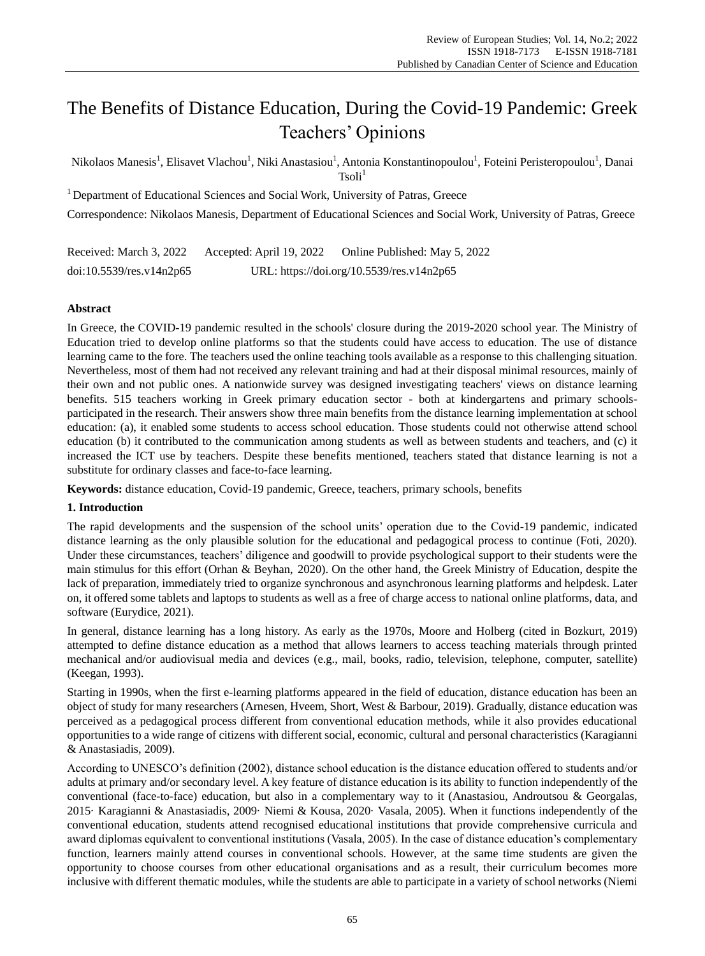# The Benefits of Distance Education, During the Covid-19 Pandemic: Greek Teachers' Opinions

Nikolaos Manesis<sup>1</sup>, Elisavet Vlachou<sup>1</sup>, Niki Anastasiou<sup>1</sup>, Antonia Konstantinopoulou<sup>1</sup>, Foteini Peristeropoulou<sup>1</sup>, Danai  $Tsoli<sup>1</sup>$ 

<sup>1</sup> Department of Educational Sciences and Social Work, University of Patras, Greece

Correspondence: Nikolaos Manesis, Department of Educational Sciences and Social Work, University of Patras, Greece

Received: March 3, 2022 Accepted: April 19, 2022 Online Published: May 5, 2022 doi:10.5539/res.v14n2p65 URL: https://doi.org/10.5539/res.v14n2p65

# **Abstract**

In Greece, the COVID-19 pandemic resulted in the schools' closure during the 2019-2020 school year. The Ministry of Education tried to develop online platforms so that the students could have access to education. The use of distance learning came to the fore. The teachers used the online teaching tools available as a response to this challenging situation. Nevertheless, most of them had not received any relevant training and had at their disposal minimal resources, mainly of their own and not public ones. A nationwide survey was designed investigating teachers' views on distance learning benefits. 515 teachers working in Greek primary education sector - both at kindergartens and primary schoolsparticipated in the research. Their answers show three main benefits from the distance learning implementation at school education: (a), it enabled some students to access school education. Those students could not otherwise attend school education (b) it contributed to the communication among students as well as between students and teachers, and (c) it increased the ICT use by teachers. Despite these benefits mentioned, teachers stated that distance learning is not a substitute for ordinary classes and face-to-face learning.

**Keywords:** distance education, Covid-19 pandemic, Greece, teachers, primary schools, benefits

# **1. Introduction**

The rapid developments and the suspension of the school units' operation due to the Covid-19 pandemic, indicated distance learning as the only plausible solution for the educational and pedagogical process to continue (Foti, 2020). Under these circumstances, teachers' diligence and goodwill to provide psychological support to their students were the main stimulus for this effort (Orhan & Beyhan, 2020). On the other hand, the Greek Ministry of Education, despite the lack of preparation, immediately tried to organize synchronous and asynchronous learning platforms and helpdesk. Later on, it offered some tablets and laptops to students as well as a free of charge access to national online platforms, data, and software (Eurydice, 2021).

In general, distance learning has a long history. As early as the 1970s, Moore and Holberg (cited in Bozkurt, 2019) attempted to define distance education as a method that allows learners to access teaching materials through printed mechanical and/or audiovisual media and devices (e.g., mail, books, radio, television, telephone, computer, satellite) (Keegan, 1993).

Starting in 1990s, when the first e-learning platforms appeared in the field of education, distance education has been an object of study for many researchers (Arnesen, Hveem, Short, West & Barbour, 2019). Gradually, distance education was perceived as a pedagogical process different from conventional education methods, while it also provides educational opportunities to a wide range of citizens with different social, economic, cultural and personal characteristics (Karagianni & Anastasiadis, 2009).

According to UNESCO's definition (2002), distance school education is the distance education offered to students and/or adults at primary and/or secondary level. A key feature of distance education is its ability to function independently of the conventional (face-to-face) education, but also in a complementary way to it (Anastasiou, Androutsou & Georgalas, 2015· Karagianni & Anastasiadis, 2009· Niemi & Kousa, 2020· Vasala, 2005). When it functions independently of the conventional education, students attend recognised educational institutions that provide comprehensive curricula and award diplomas equivalent to conventional institutions (Vasala, 2005). In the case of distance education's complementary function, learners mainly attend courses in conventional schools. However, at the same time students are given the opportunity to choose courses from other educational organisations and as a result, their curriculum becomes more inclusive with different thematic modules, while the students are able to participate in a variety of school networks (Niemi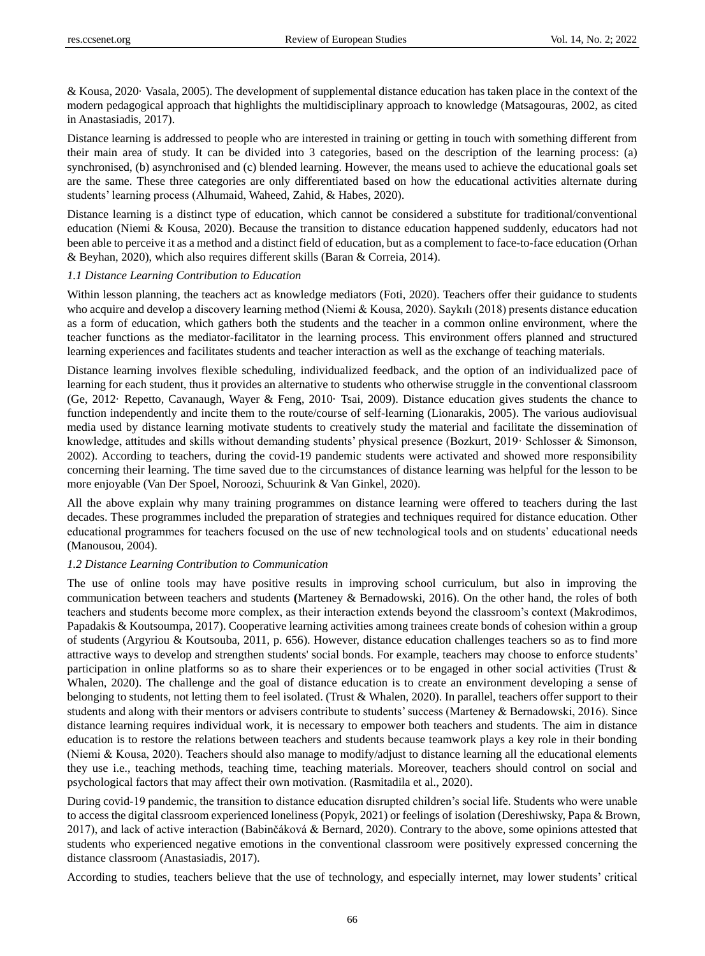& Kousa, 2020· Vasala, 2005). The development of supplemental distance education has taken place in the context of the modern pedagogical approach that highlights the multidisciplinary approach to knowledge (Matsagouras, 2002, as cited in Anastasiadis, 2017).

Distance learning is addressed to people who are interested in training or getting in touch with something different from their main area of study. It can be divided into 3 categories, based on the description of the learning process: (a) synchronised, (b) asynchronised and (c) blended learning. However, the means used to achieve the educational goals set are the same. These three categories are only differentiated based on how the educational activities alternate during students' learning process (Alhumaid, Waheed, Zahid, & Habes, 2020).

Distance learning is a distinct type of education, which cannot be considered a substitute for traditional/conventional education (Niemi & Kousa, 2020). Because the transition to distance education happened suddenly, educators had not been able to perceive it as a method and a distinct field of education, but as a complement to face-to-face education (Orhan & Beyhan, 2020), which also requires different skills (Baran & Correia, 2014).

#### *1.1 Distance Learning Contribution to Education*

Within lesson planning, the teachers act as knowledge mediators (Foti, 2020). Teachers offer their guidance to students who acquire and develop a discovery learning method (Niemi & Kousa, 2020). Saykılı (2018) presents distance education as a form of education, which gathers both the students and the teacher in a common online environment, where the teacher functions as the mediator-facilitator in the learning process. This environment offers planned and structured learning experiences and facilitates students and teacher interaction as well as the exchange of teaching materials.

Distance learning involves flexible scheduling, individualized feedback, and the option of an individualized pace of learning for each student, thus it provides an alternative to students who otherwise struggle in the conventional classroom (Ge, 2012· Repetto, Cavanaugh, Wayer & Feng, 2010· Tsai, 2009). Distance education gives students the chance to function independently and incite them to the route/course of self-learning (Lionarakis, 2005). The various audiovisual media used by distance learning motivate students to creatively study the material and facilitate the dissemination of knowledge, attitudes and skills without demanding students' physical presence (Bozkurt, 2019· Schlosser & Simonson, 2002). According to teachers, during the covid-19 pandemic students were activated and showed more responsibility concerning their learning. The time saved due to the circumstances of distance learning was helpful for the lesson to be more enjoyable (Van Der Spoel, Noroozi, Schuurink & Van Ginkel, 2020).

All the above explain why many training programmes on distance learning were offered to teachers during the last decades. These programmes included the preparation of strategies and techniques required for distance education. Other educational programmes for teachers focused on the use of new technological tools and on students' educational needs (Manousou, 2004).

## *1.2 Distance Learning Contribution to Communication*

The use of online tools may have positive results in improving school curriculum, but also in improving the communication between teachers and students **(**Marteney & Bernadowski, 2016). On the other hand, the roles of both teachers and students become more complex, as their interaction extends beyond the classroom's context (Makrodimos, Papadakis & Koutsoumpa, 2017). Cooperative learning activities among trainees create bonds of cohesion within a group of students (Argyriou & Koutsouba, 2011, p. 656). However, distance education challenges teachers so as to find more attractive ways to develop and strengthen students' social bonds. For example, teachers may choose to enforce students' participation in online platforms so as to share their experiences or to be engaged in other social activities (Trust & Whalen, 2020). The challenge and the goal of distance education is to create an environment developing a sense of belonging to students, not letting them to feel isolated. (Trust & Whalen, 2020). In parallel, teachers offer support to their students and along with their mentors or advisers contribute to students' success (Marteney & Bernadowski, 2016). Since distance learning requires individual work, it is necessary to empower both teachers and students. The aim in distance education is to restore the relations between teachers and students because teamwork plays a key role in their bonding (Niemi & Kοusa, 2020). Teachers should also manage to modify/adjust to distance learning all the educational elements they use i.e., teaching methods, teaching time, teaching materials. Moreover, teachers should control on social and psychological factors that may affect their own motivation. (Rasmitadila et al., 2020).

During covid-19 pandemic, the transition to distance education disrupted children's social life. Students who were unable to access the digital classroom experienced loneliness (Popyk, 2021) or feelings of isolation (Dereshiwsky, Papa & Brown, 2017), and lack of active interaction (Babinčáková & Bernard, 2020). Contrary to the above, some opinions attested that students who experienced negative emotions in the conventional classroom were positively expressed concerning the distance classroom (Anastasiadis, 2017).

According to studies, teachers believe that the use of technology, and especially internet, may lower students' critical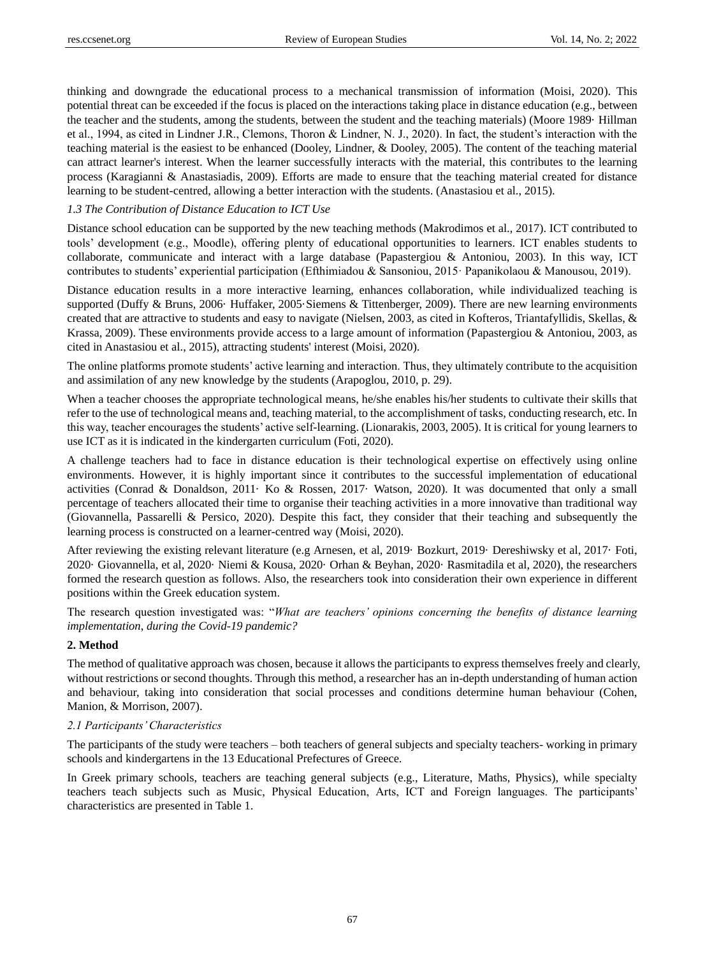thinking and downgrade the educational process to a mechanical transmission of information (Moisi, 2020). This potential threat can be exceeded if the focus is placed on the interactions taking place in distance education (e.g., between the teacher and the students, among the students, between the student and the teaching materials) (Moore 1989· Hillman et al., 1994, as cited in Lindner J.R., Clemons, Thoron & Lindner, N. J., 2020). In fact, the student's interaction with the teaching material is the easiest to be enhanced (Dooley, Lindner, & Dooley, 2005). The content of the teaching material can attract learner's interest. When the learner successfully interacts with the material, this contributes to the learning process (Karagianni & Anastasiadis, 2009). Efforts are made to ensure that the teaching material created for distance learning to be student-centred, allowing a better interaction with the students. (Anastasiou et al., 2015).

## *1.3 The Contribution of Distance Education to ICT Use*

Distance school education can be supported by the new teaching methods (Makrodimos et al., 2017). ICT contributed to tools' development (e.g., Moodle), offering plenty of educational opportunities to learners. ICT enables students to collaborate, communicate and interact with a large database (Papastergiou & Antoniou, 2003). In this way, ICT contributes to students' experiential participation (Efthimiadou & Sansoniou, 2015· Papanikolaou & Manousou, 2019).

Distance education results in a more interactive learning, enhances collaboration, while individualized teaching is supported (Duffy & Bruns, 2006 · Huffaker, 2005 Siemens & Tittenberger, 2009). There are new learning environments created that are attractive to students and easy to navigate (Nielsen, 2003, as cited in Kofteros, Triantafyllidis, Skellas, & Krassa, 2009). These environments provide access to a large amount of information (Papastergiou & Antoniou, 2003, as cited in Anastasiou et al., 2015), attracting students' interest (Moisi, 2020).

The online platforms promote students' active learning and interaction. Thus, they ultimately contribute to the acquisition and assimilation of any new knowledge by the students (Arapoglou, 2010, p. 29).

When a teacher chooses the appropriate technological means, he/she enables his/her students to cultivate their skills that refer to the use of technological means and, teaching material, to the accomplishment of tasks, conducting research, etc. In this way, teacher encourages the students' active self-learning. (Lionarakis, 2003, 2005). It is critical for young learners to use ICT as it is indicated in the kindergarten curriculum (Foti, 2020).

A challenge teachers had to face in distance education is their technological expertise on effectively using online environments. However, it is highly important since it contributes to the successful implementation of educational activities (Conrad & Donaldson, 2011· Ko & Rossen, 2017· Watson, 2020). It was documented that only a small percentage of teachers allocated their time to organise their teaching activities in a more innovative than traditional way (Giovannella, Passarelli & Persico, 2020). Despite this fact, they consider that their teaching and subsequently the learning process is constructed on a learner-centred way (Moisi, 2020).

After reviewing the existing relevant literature (e.g Arnesen, et al, 2019· Bozkurt, 2019· Dereshiwsky et al, 2017· Foti, 2020· Giovannella, et al, 2020· Niemi & Kousa, 2020· Orhan & Beyhan, 2020· Rasmitadila et al, 2020), the researchers formed the research question as follows. Also, the researchers took into consideration their own experience in different positions within the Greek education system.

The research question investigated was: "*What are teachers' opinions concerning the benefits of distance learning implementation*, *during the Covid-19 pandemic?*

## **2. Method**

The method of qualitative approach was chosen, because it allows the participants to express themselves freely and clearly, without restrictions or second thoughts. Through this method, a researcher has an in-depth understanding of human action and behaviour, taking into consideration that social processes and conditions determine human behaviour (Cohen, Manion, & Morrison, 2007).

#### *2.1 Participants' Characteristics*

The participants of the study were teachers – both teachers of general subjects and specialty teachers- working in primary schools and kindergartens in the 13 Educational Prefectures of Greece.

In Greek primary schools, teachers are teaching general subjects (e.g., Literature, Maths, Physics), while specialty teachers teach subjects such as Music, Physical Education, Arts, ICT and Foreign languages. The participants' characteristics are presented in Table 1.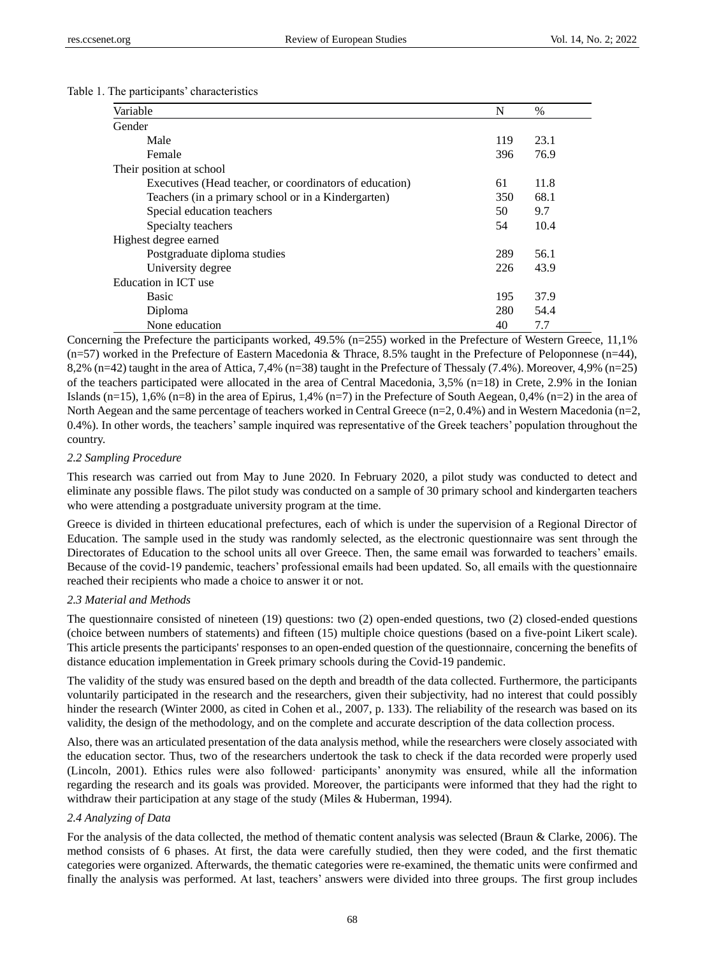|  |  |  | Table 1. The participants' characteristics |
|--|--|--|--------------------------------------------|
|--|--|--|--------------------------------------------|

| Variable                                                | $\%$ |      |
|---------------------------------------------------------|------|------|
| Gender                                                  |      |      |
| Male                                                    | 119  | 23.1 |
| Female                                                  | 396  | 76.9 |
| Their position at school                                |      |      |
| Executives (Head teacher, or coordinators of education) | 61   | 11.8 |
| Teachers (in a primary school or in a Kindergarten)     | 350  | 68.1 |
| Special education teachers                              | 50   | 9.7  |
| Specialty teachers                                      | 54   | 10.4 |
| Highest degree earned                                   |      |      |
| Postgraduate diploma studies                            | 289  | 56.1 |
| University degree                                       | 226  | 43.9 |
| Education in ICT use                                    |      |      |
| <b>Basic</b>                                            | 195  | 37.9 |
| Diploma                                                 | 280  | 54.4 |
| None education                                          | 40   | 7.7  |

Concerning the Prefecture the participants worked, 49.5% (n=255) worked in the Prefecture of Western Greece, 11,1%  $(n=57)$  worked in the Prefecture of Eastern Macedonia & Thrace, 8.5% taught in the Prefecture of Peloponnese (n=44), 8,2% (n=42) taught in the area of Attica, 7,4% (n=38) taught in the Prefecture of Thessaly (7.4%). Moreover, 4,9% (n=25) of the teachers participated were allocated in the area of Central Macedonia, 3,5% (n=18) in Crete, 2.9% in the Ionian Islands (n=15), 1,6% (n=8) in the area of Epirus, 1,4% (n=7) in the Prefecture of South Aegean, 0,4% (n=2) in the area of North Aegean and the same percentage of teachers worked in Central Greece  $(n=2, 0.4\%)$  and in Western Macedonia  $(n=2, 1.4\%)$ 0.4%). In other words, the teachers' sample inquired was representative of the Greek teachers' population throughout the country.

#### *2.2 Sampling Procedure*

This research was carried out from May to June 2020. In February 2020, a pilot study was conducted to detect and eliminate any possible flaws. The pilot study was conducted on a sample of 30 primary school and kindergarten teachers who were attending a postgraduate university program at the time.

Greece is divided in thirteen educational prefectures, each of which is under the supervision of a Regional Director of Education. The sample used in the study was randomly selected, as the electronic questionnaire was sent through the Directorates of Education to the school units all over Greece. Then, the same email was forwarded to teachers' emails. Because of the covid-19 pandemic, teachers' professional emails had been updated. So, all emails with the questionnaire reached their recipients who made a choice to answer it or not.

# *2.3 Material and Methods*

The questionnaire consisted of nineteen (19) questions: two (2) open-ended questions, two (2) closed-ended questions (choice between numbers of statements) and fifteen (15) multiple choice questions (based on a five-point Likert scale). This article presents the participants' responses to an open-ended question of the questionnaire, concerning the benefits of distance education implementation in Greek primary schools during the Covid-19 pandemic.

The validity of the study was ensured based on the depth and breadth of the data collected. Furthermore, the participants voluntarily participated in the research and the researchers, given their subjectivity, had no interest that could possibly hinder the research (Winter 2000, as cited in Cohen et al., 2007, p. 133). The reliability of the research was based on its validity, the design of the methodology, and on the complete and accurate description of the data collection process.

Also, there was an articulated presentation of the data analysis method, while the researchers were closely associated with the education sector. Thus, two of the researchers undertook the task to check if the data recorded were properly used (Lincoln, 2001). Ethics rules were also followed· participants' anonymity was ensured, while all the information regarding the research and its goals was provided. Moreover, the participants were informed that they had the right to withdraw their participation at any stage of the study (Miles & Huberman, 1994).

#### *2.4 Analyzing of Data*

For the analysis of the data collected, the method of thematic content analysis was selected (Braun & Clarke, 2006). The method consists of 6 phases. At first, the data were carefully studied, then they were coded, and the first thematic categories were organized. Afterwards, the thematic categories were re-examined, the thematic units were confirmed and finally the analysis was performed. At last, teachers' answers were divided into three groups. The first group includes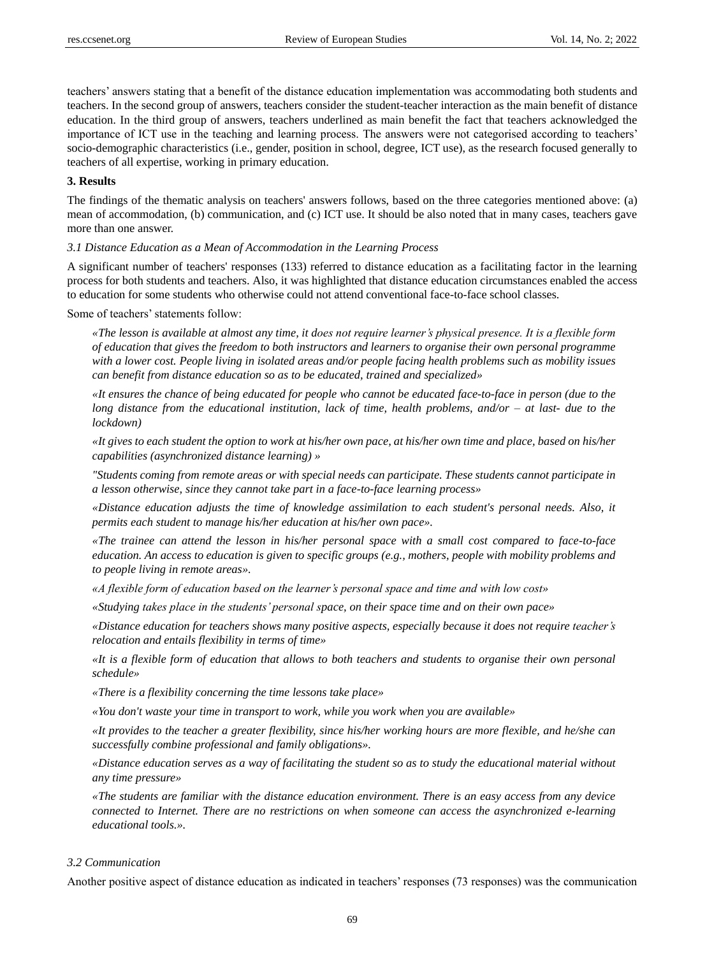teachers' answers stating that a benefit of the distance education implementation was accommodating both students and teachers. In the second group of answers, teachers consider the student-teacher interaction as the main benefit of distance education. In the third group of answers, teachers underlined as main benefit the fact that teachers acknowledged the importance of ICT use in the teaching and learning process. The answers were not categorised according to teachers' socio-demographic characteristics (i.e., gender, position in school, degree, ICT use), as the research focused generally to teachers of all expertise, working in primary education.

#### **3. Results**

The findings of the thematic analysis on teachers' answers follows, based on the three categories mentioned above: (a) mean of accommodation, (b) communication, and (c) ICT use. It should be also noted that in many cases, teachers gave more than one answer.

*3.1 Distance Education as a Mean of Accommodation in the Learning Process*

A significant number of teachers' responses (133) referred to distance education as a facilitating factor in the learning process for both students and teachers. Also, it was highlighted that distance education circumstances enabled the access to education for some students who otherwise could not attend conventional face-to-face school classes.

Some of teachers' statements follow:

*«The lesson is available at almost any time, it does not require learner's physical presence. It is a flexible form of education that gives the freedom to both instructors and learners to organise their own personal programme with a lower cost. People living in isolated areas and/or people facing health problems such as mobility issues can benefit from distance education so as to be educated, trained and specialized»*

*«It ensures the chance of being educated for people who cannot be educated face-to-face in person (due to the long distance from the educational institution, lack of time, health problems, and/or – at last- due to the lockdown)*

*«It gives to each student the option to work at his/her own pace, at his/her own time and place, based on his/her capabilities (asynchronized distance learning) »* 

*"Students coming from remote areas or with special needs can participate. These students cannot participate in a lesson otherwise, since they cannot take part in a face-to-face learning process»*

*«Distance education adjusts the time of knowledge assimilation to each student's personal needs. Also, it permits each student to manage his/her education at his/her own pace».*

*«The trainee can attend the lesson in his/her personal space with a small cost compared to face-to-face education. An access to education is given to specific groups (e.g., mothers, people with mobility problems and to people living in remote areas».*

*«A flexible form of education based on the learner's personal space and time and with low cost»*

*«Studying takes place in the students' personal space, on their space time and on their own pace»*

*«Distance education for teachers shows many positive aspects, especially because it does not require teacher's relocation and entails flexibility in terms of time»*

*«It is a flexible form of education that allows to both teachers and students to organise their own personal schedule»*

*«There is a flexibility concerning the time lessons take place»*

*«You don't waste your time in transport to work, while you work when you are available»*

*«It provides to the teacher a greater flexibility, since his/her working hours are more flexible, and he/she can successfully combine professional and family obligations».* 

*«Distance education serves as a way of facilitating the student so as to study the educational material without any time pressure»*

*«The students are familiar with the distance education environment. There is an easy access from any device connected to Internet. There are no restrictions on when someone can access the asynchronized e-learning educational tools.».*

#### *3.2 Communication*

Another positive aspect of distance education as indicated in teachers' responses (73 responses) was the communication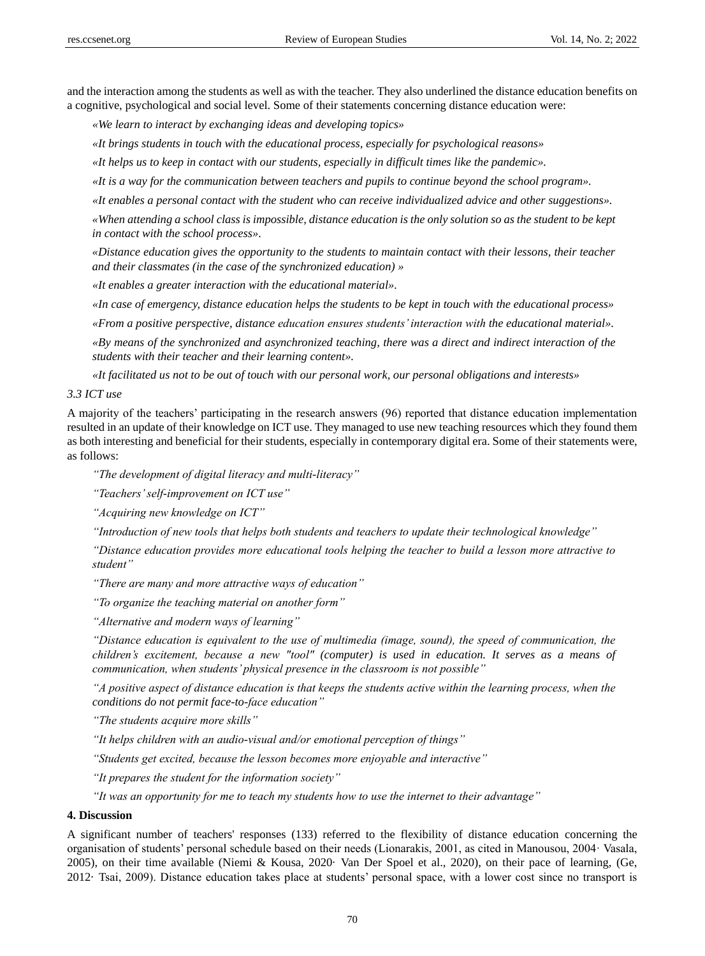and the interaction among the students as well as with the teacher. They also underlined the distance education benefits on a cognitive, psychological and social level. Some of their statements concerning distance education were:

*«We learn to interact by exchanging ideas and developing topics»*

*«It brings students in touch with the educational process, especially for psychological reasons»*

*«It helps us to keep in contact with our students, especially in difficult times like the pandemic».*

*«It is a way for the communication between teachers and pupils to continue beyond the school program».*

*«It enables a personal contact with the student who can receive individualized advice and other suggestions».*

*«When attending a school class is impossible, distance education is the only solution so as the student to be kept in contact with the school process».*

*«Distance education gives the opportunity to the students to maintain contact with their lessons, their teacher and their classmates (in the case of the synchronized education) »*

*«It enables a greater interaction with the educational material».*

*«In case of emergency, distance education helps the students to be kept in touch with the educational process»*

*«From a positive perspective, distance education ensures students' interaction with the educational material».*

*«By means of the synchronized and asynchronized teaching, there was a direct and indirect interaction of the students with their teacher and their learning content».*

*«It facilitated us not to be out of touch with our personal work, our personal obligations and interests»*

#### *3.3 ICT use*

A majority of the teachers' participating in the research answers (96) reported that distance education implementation resulted in an update of their knowledge on ICT use. They managed to use new teaching resources which they found them as both interesting and beneficial for their students, especially in contemporary digital era. Some of their statements were, as follows:

*"The development of digital literacy and multi-literacy"*

*"Teachers' self-improvement on ICT use"* 

*"Acquiring new knowledge on ICT"*

*"Introduction of new tools that helps both students and teachers to update their technological knowledge"* 

*"Distance education provides more educational tools helping the teacher to build a lesson more attractive to student"*

*"There are many and more attractive ways of education"*

*"To organize the teaching material on another form"*

*"Alternative and modern ways of learning"*

*"Distance education is equivalent to the use of multimedia (image, sound), the speed of communication, the children's excitement, because a new "tool" (computer) is used in education. It serves as a means of communication, when students' physical presence in the classroom is not possible"*

*"A positive aspect of distance education is that keeps the students active within the learning process, when the conditions do not permit face-to-face education"*

*"The students acquire more skills"*

*"It helps children with an audio-visual and/or emotional perception of things"*

*"Students get excited, because the lesson becomes more enjoyable and interactive"*

*"It prepares the student for the information society"*

*"It was an opportunity for me to teach my students how to use the internet to their advantage"*

#### **4. Discussion**

A significant number of teachers' responses (133) referred to the flexibility of distance education concerning the organisation of students' personal schedule based on their needs (Lionarakis, 2001, as cited in Manousou, 2004· Vasala, 2005), on their time available (Niemi & Kousa, 2020· Van Der Spoel et al., 2020), on their pace of learning, (Ge, 2012· Tsai, 2009). Distance education takes place at students' personal space, with a lower cost since no transport is

70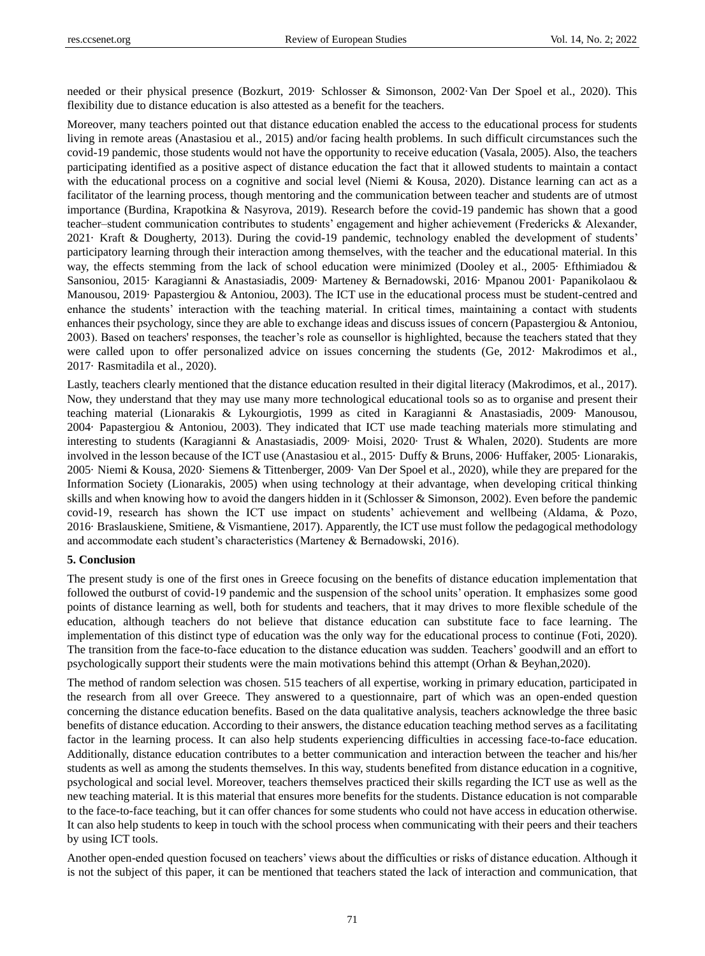needed or their physical presence (Bozkurt, 2019· Schlosser & Simonson, 2002·Van Der Spoel et al., 2020). This flexibility due to distance education is also attested as a benefit for the teachers.

Moreover, many teachers pointed out that distance education enabled the access to the educational process for students living in remote areas (Anastasiou et al., 2015) and/or facing health problems. In such difficult circumstances such the covid-19 pandemic, those students would not have the opportunity to receive education (Vasala, 2005). Also, the teachers participating identified as a positive aspect of distance education the fact that it allowed students to maintain a contact with the educational process on a cognitive and social level (Niemi & Kousa, 2020). Distance learning can act as a facilitator of the learning process, though mentoring and the communication between teacher and students are of utmost importance (Burdina, Krapotkina & Nasyrova, 2019). Research before the covid-19 pandemic has shown that a good teacher–student communication contributes to students' engagement and higher achievement (Fredericks & Alexander, 2021· Kraft & Dougherty, 2013). During the covid-19 pandemic, technology enabled the development of students' participatory learning through their interaction among themselves, with the teacher and the educational material. In this way, the effects stemming from the lack of school education were minimized (Dooley et al., 2005 Efthimiadou & Sansoniou, 2015· Karagianni & Anastasiadis, 2009· Marteney & Bernadowski, 2016· Mpanou 2001· Papanikolaou & Manousou, 2019· Papastergiou & Antoniou, 2003). The ICT use in the educational process must be student-centred and enhance the students' interaction with the teaching material. In critical times, maintaining a contact with students enhances their psychology, since they are able to exchange ideas and discuss issues of concern (Papastergiou & Antoniou, 2003). Based on teachers' responses, the teacher's role as counsellor is highlighted, because the teachers stated that they were called upon to offer personalized advice on issues concerning the students (Ge, 2012· Makrodimos et al., 2017· Rasmitadila et al., 2020).

Lastly, teachers clearly mentioned that the distance education resulted in their digital literacy (Makrodimos, et al., 2017). Now, they understand that they may use many more technological educational tools so as to organise and present their teaching material (Lionarakis & Lykourgiotis, 1999 as cited in Karagianni & Anastasiadis, 2009· Manousou, 2004· Papastergiou & Antoniou, 2003). They indicated that ICT use made teaching materials more stimulating and interesting to students (Karagianni & Anastasiadis, 2009· Moisi, 2020· Trust & Whalen, 2020). Students are more involved in the lesson because of the ICT use (Anastasiou et al., 2015· Duffy & Bruns, 2006· Huffaker, 2005· Lionarakis, 2005· Niemi & Kousa, 2020· Siemens & Tittenberger, 2009· Van Der Spoel et al., 2020), while they are prepared for the Information Society (Lionarakis, 2005) when using technology at their advantage, when developing critical thinking skills and when knowing how to avoid the dangers hidden in it (Schlosser & Simonson, 2002). Even before the pandemic covid-19, research has shown the ICT use impact on students' achievement and wellbeing (Aldama, & Pozo, 2016· Braslauskiene, Smitiene, & Vismantiene, 2017). Apparently, the ICT use must follow the pedagogical methodology and accommodate each student's characteristics (Marteney & Bernadowski, 2016).

#### **5. Conclusion**

The present study is one of the first ones in Greece focusing on the benefits of distance education implementation that followed the outburst of covid-19 pandemic and the suspension of the school units' operation. It emphasizes some good points of distance learning as well, both for students and teachers, that it may drives to more flexible schedule of the education, although teachers do not believe that distance education can substitute face to face learning. The implementation of this distinct type of education was the only way for the educational process to continue (Foti, 2020). The transition from the face-to-face education to the distance education was sudden. Teachers' goodwill and an effort to psychologically support their students were the main motivations behind this attempt (Orhan & Beyhan,2020).

The method of random selection was chosen. 515 teachers of all expertise, working in primary education, participated in the research from all over Greece. They answered to a questionnaire, part of which was an open-ended question concerning the distance education benefits. Based on the data qualitative analysis, teachers acknowledge the three basic benefits of distance education. According to their answers, the distance education teaching method serves as a facilitating factor in the learning process. It can also help students experiencing difficulties in accessing face-to-face education. Additionally, distance education contributes to a better communication and interaction between the teacher and his/her students as well as among the students themselves. In this way, students benefited from distance education in a cognitive, psychological and social level. Moreover, teachers themselves practiced their skills regarding the ICT use as well as the new teaching material. It is this material that ensures more benefits for the students. Distance education is not comparable to the face-to-face teaching, but it can offer chances for some students who could not have access in education otherwise. It can also help students to keep in touch with the school process when communicating with their peers and their teachers by using ICT tools.

Another open-ended question focused on teachers' views about the difficulties or risks of distance education. Although it is not the subject of this paper, it can be mentioned that teachers stated the lack of interaction and communication, that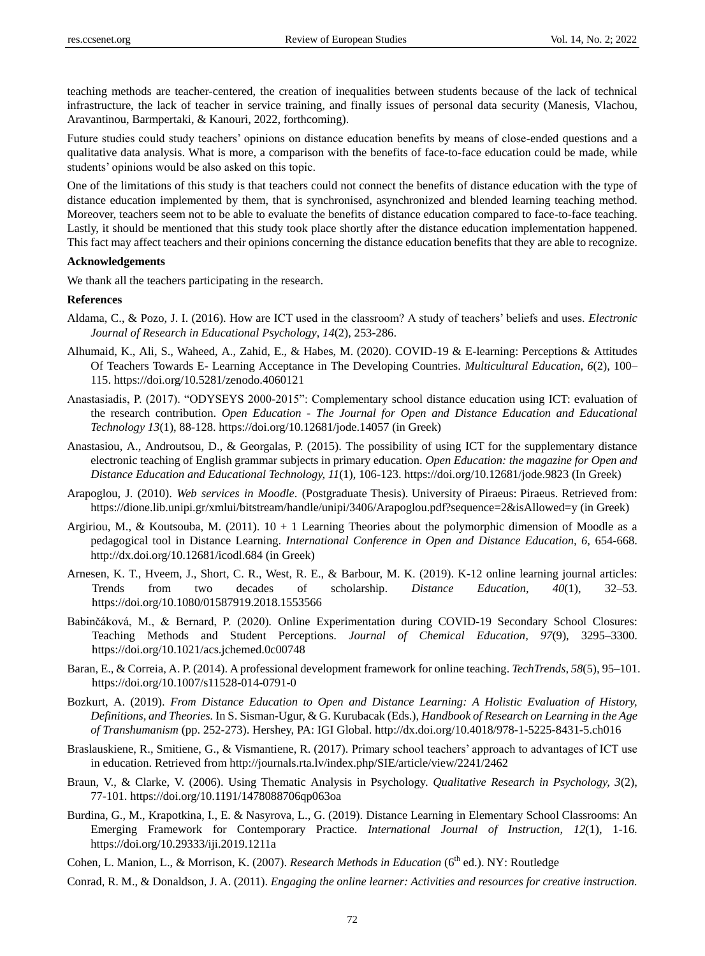teaching methods are teacher-centered, the creation of inequalities between students because of the lack of technical infrastructure, the lack of teacher in service training, and finally issues of personal data security (Manesis, Vlachou, Aravantinou, Barmpertaki, & Kanouri, 2022, forthcoming).

Future studies could study teachers' opinions on distance education benefits by means of close-ended questions and a qualitative data analysis. What is more, a comparison with the benefits of face-to-face education could be made, while students' opinions would be also asked on this topic.

One of the limitations of this study is that teachers could not connect the benefits of distance education with the type of distance education implemented by them, that is synchronised, asynchronized and blended learning teaching method. Moreover, teachers seem not to be able to evaluate the benefits of distance education compared to face-to-face teaching. Lastly, it should be mentioned that this study took place shortly after the distance education implementation happened. This fact may affect teachers and their opinions concerning the distance education benefits that they are able to recognize.

# **Acknowledgements**

We thank all the teachers participating in the research.

#### **References**

- Aldama, C., & Pozo, J. I. (2016). How are ICT used in the classroom? A study of teachers' beliefs and uses. *Electronic Journal of Research in Educational Psychology*, *14*(2), 253-286.
- Alhumaid, K., Ali, S., Waheed, A., Zahid, E., & Habes, M. (2020). COVID-19 & E-learning: Perceptions & Attitudes Of Teachers Towards E- Learning Acceptance in The Developing Countries. *Multicultural Education*, *6*(2), 100– 115.<https://doi.org/10.5281/zenodo.4060121>
- Anastasiadis, P. (2017). "ODYSEYS 2000-2015": Complementary school distance education using ICT: evaluation of the research contribution. *Open Education - The Journal for Open and Distance Education and Educational Technology 13*(1), 88-128.<https://doi.org/10.12681/jode.14057> (in Greek)
- Anastasiou, A., Androutsou, D., & Georgalas, P. (2015). The possibility of using ICT for the supplementary distance electronic teaching of English grammar subjects in primary education. *Open Education: the magazine for Open and Distance Education and Educational Technology, 11*(1), 106-123[. https://doi.org/10.12681/jode.9823 \(](https://doi.org/10.12681/jode.9823)In Greek)
- Arapoglou, J. (2010). *Web services in Moodle*. (Postgraduate Thesis). University of Piraeus: Piraeus. Retrieved from[:](https://dione.lib.unipi.gr/xmlui/bitstream/handle/unipi/3406/Arapoglou.pdf?sequence=2&isAllowed=y%20) [https://dione.lib.unipi.gr/xmlui/bitstream/handle/unipi/3406/Arapoglou.pdf?sequence=2&isAllowed=y \(](https://dione.lib.unipi.gr/xmlui/bitstream/handle/unipi/3406/Arapoglou.pdf?sequence=2&isAllowed=y%20)in Greek)
- Argiriou, M., & Koutsouba, M. (2011). 10 + 1 Learning Theories about the polymorphic dimension of Moodle as a pedagogical tool in Distance Learning. *International Conference in Open and Distance Education, 6,* 654-668. <http://dx.doi.org/10.12681/icodl.684> (in Greek)
- Arnesen, K. T., Hveem, J., Short, C. R., West, R. E., & [Barbour, M. K. \(2019\). K-12 online learning journal articles:](about:blank)  [Trends from two decades of scholarship.](about:blank) *[Distance Education, 40](about:blank)*[\(1\), 32–53.](about:blank)  [https://doi.org/10.1080/01587919.2018.1553566](about:blank)
- [Babinčáková, M., & Bernard, P. \(2020\)](about:blank)*[.](about:blank)* [Online Experimentation during COVID-19 Secondary School Closures:](about:blank)  [Teaching Methods and Student Perceptions.](about:blank) *[Journal of Chemical Education, 97](about:blank)*[\(9\), 3295–3300.](about:blank) <https://doi.org/10.1021/acs.jchemed.0c00748>
- Baran, E., & [Correia, A. P. \(2014\). A professional development framework for online teaching.](https://doi.org/10.1007/s11528-014-0791-0) *[TechTrends](https://doi.org/10.1007/s11528-014-0791-0)*[,](https://doi.org/10.1007/s11528-014-0791-0) *[58](https://doi.org/10.1007/s11528-014-0791-0)*[\(5\), 95–101.](https://doi.org/10.1007/s11528-014-0791-0)  <https://doi.org/10.1007/s11528-014-0791-0>
- Bozkurt, A. (2019). *From Distance Education to Open and Distance Learning: A Holistic Evaluation of History, Definitions, and Theories.* In S. Sisman-Ugur, & G. Kurubacak (Eds.), *Handbook of Research on Learning in the Age of Transhumanism* (pp. 252-273). Hershey, PA: IGI Global. <http://dx.doi.org/10.4018/978-1-5225-8431-5.ch016>
- Braslauskiene, R., Smitiene, G., & Vismantiene, R. (2017). Primary school teachers' approach to advantages of ICT use in education. Retrieved from<http://journals.rta.lv/index.php/SIE/article/view/2241/2462>
- Braun, V., & Clarke, V. (2006). Using Thematic Analysis in Psychology. *Qualitative Research in Psychology, 3*(2), 77-101.<https://doi.org/10.1191/1478088706qp063oa>
- Burdina, G., M., Krapotkina, I., E. & Nasyrova, L., G. (2019). Distance Learning in Elementary School Classrooms: An Emerging Framework for Contemporary Practice. *International Journal of Instruction*, *12*(1), 1-16. <https://doi.org/10.29333/iji.2019.1211a>
- Cohen, L. Manion, L., & Morrison, K. (2007). *Research Methods in Education* (6<sup>th</sup> ed.). NY: Routledge
- Conrad, R. M., & Donaldson, J. A. (2011). *Engaging the online learner: Activities and resources for creative instruction.*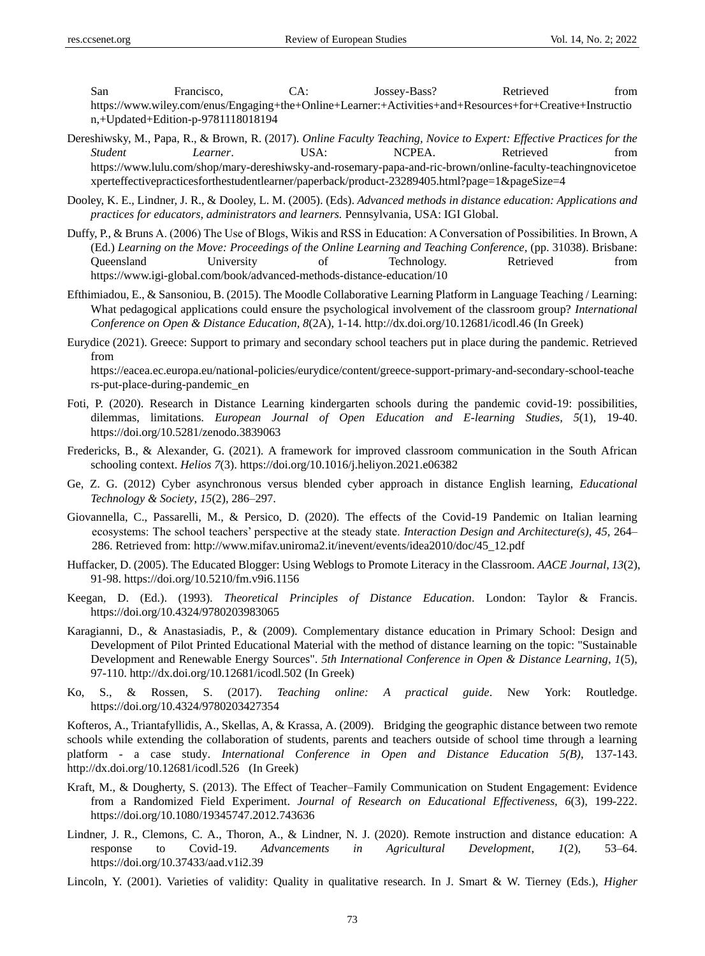San Francisco, CA: Jossey-Bass? Retrieved from [https://www.wiley.com/enus/Engaging+the+Online+Learner:+Activities+and+Resources+for+Creative+Instructio](https://www.wiley.com/enus/Engaging+the+Online+Learner:+Activities+and+Resources+for+Creative+Instruction,+Updated+Edition-p-9781118018194) [n,+Updated+Edition-p-9781118018194](https://www.wiley.com/enus/Engaging+the+Online+Learner:+Activities+and+Resources+for+Creative+Instruction,+Updated+Edition-p-9781118018194)

- Dereshiwsky, M., Papa, R., & Brown, R. (2017). *Online Faculty Teaching, Novice to Expert: Effective Practices for the Student Learner*. USA: NCPEA. Retrieved from [https://www.lulu.com/shop/mary-dereshiwsky-and-rosemary-papa-and-ric-brown/online-faculty-teachingnovicetoe](https://www.lulu.com/shop/mary-dereshiwsky-and-rosemary-papa-and-ric-brown/online-faculty-teachingnovicetoexperteffectivepracticesforthestudentlearner/paperback/product-23289405.html?page=1&pageSize=4) [xperteffectivepracticesforthestudentlearner/paperback/product-23289405.html?page=1&pageSize=4](https://www.lulu.com/shop/mary-dereshiwsky-and-rosemary-papa-and-ric-brown/online-faculty-teachingnovicetoexperteffectivepracticesforthestudentlearner/paperback/product-23289405.html?page=1&pageSize=4)
- Dooley, K. E., Lindner, J. R., & Dooley, L. M. (2005). (Eds). *Advanced methods in distance education: Applications and practices for educators, administrators and learners.* Pennsylvania*,* USA: IGI Global.
- Duffy, P., & Bruns Α. (2006) The Use of Blogs, Wikis and RSS in Education: A Conversation of Possibilities. In Brown, A (Ed.) *Learning on the Move: Proceedings of the Online Learning and Teaching Conference*, (pp. 31038). Brisbane: Queensland University of Technology. Retrieved from <https://www.igi-global.com/book/advanced-methods-distance-education/10>
- Efthimiadou, E., & Sansoniou, B. (2015). The Moodle Collaborative Learning Platform in Language Teaching / Learning: What pedagogical applications could ensure the psychological involvement of the classroom group? *International Conference on Open & Distance Education, 8*(2A), 1-14.<http://dx.doi.org/10.12681/icodl.46> (In Greek)
- Eurydice (2021). Greece: Support to primary and secondary school teachers put in place during the pandemic. Retrieved from

[https://eacea.ec.europa.eu/national-policies/eurydice/content/greece-support-primary-and-secondary-school-teache](https://eacea.ec.europa.eu/national-policies/eurydice/content/greece-support-primary-and-secondary-school-teachers-put-place-during-pandemic_en) [rs-put-place-during-pandemic\\_en](https://eacea.ec.europa.eu/national-policies/eurydice/content/greece-support-primary-and-secondary-school-teachers-put-place-during-pandemic_en)

- Foti, P. (2020). Research in Distance Learning kindergarten schools during the pandemic covid-19: possibilities, dilemmas, limitations. *European Journal of Open Education and E-learning Studies, 5*(1), 19-40. <https://doi.org/10.5281/zenodo.3839063>
- Fredericks, B., & Alexander, G. (2021). A framework for improved classroom communication in the South African schooling context. *Helios 7*(3).<https://doi.org/10.1016/j.heliyon.2021.e06382>
- Ge, Z. G. (2012) Cyber asynchronous versus blended cyber approach in distance English learning, *Educational Technology & Society*, *15*(2), 286–297.
- [Giovannella, C., Passarelli, M., & Persico, D. \(2020\). The effects of the Covid-19 Pandemic on Italian learning](http://www.mifav.uniroma2.it/inevent/events/idea2010/doc/45_12.pdf)  [ecosystems: The school teachers' perspective at the steady state.](http://www.mifav.uniroma2.it/inevent/events/idea2010/doc/45_12.pdf) *[Interaction Design and Architecture\(s\),](http://www.mifav.uniroma2.it/inevent/events/idea2010/doc/45_12.pdf) 45,* [264–](http://www.mifav.uniroma2.it/inevent/events/idea2010/doc/45_12.pdf) [286. R](http://www.mifav.uniroma2.it/inevent/events/idea2010/doc/45_12.pdf)etrieved from: [http://www.mifav.uniroma2.it/inevent/events/idea2010/doc/45\\_12.pdf](http://www.mifav.uniroma2.it/inevent/events/idea2010/doc/45_12.pdf)
- Huffacker, D. (2005). The Educated Blogger: Using Weblogs to Promote Literacy in the Classroom. *AACE Journal*, *13*(2), 91-98. <https://doi.org/10.5210/fm.v9i6.1156>
- Keegan, D. (Ed.). (1993). *Theoretical Principles of Distance Education*. London: Taylor & Francis. <https://doi.org/10.4324/9780203983065>
- Karagianni, D., & Anastasiadis, P., & (2009). Complementary distance education in Primary School: Design and Development of Pilot Printed Educational Material with the method of distance learning on the topic: "Sustainable Development and Renewable Energy Sources". *5th International Conference in Open & Distance Learning*, *1*(5), 97-110[. http://dx.doi.org/10.12681/icodl.502](http://dx.doi.org/10.12681/icodl.502) (In Greek)
- Ko, S., & Rossen, S. (2017). *Teaching online: A practical guide*. New York: Routledge. <https://doi.org/10.4324/9780203427354>

Kofteros, A., Triantafyllidis, A., Skellas, A, & Krassa, A. (2009). Bridging the geographic distance between two remote schools while extending the collaboration of students, parents and teachers outside of school time through a learning platform - a case study. *International Conference in Open and Distance Education 5(B)*, 137-143. <http://dx.doi.org/10.12681/icodl.526>(In Greek)

- Kraft, M., & Dougherty, S. (2013). The Effect of Teacher–Family Communication on Student Engagement: Evidence from a Randomized Field Experiment. *Journal of Research on Educational Effectiveness, 6*(3), 199-222. <https://doi.org/10.1080/19345747.2012.743636>
- Lindner, J. R., Clemons, C. A., Thoron, A., & Lindner, N. J. (2020). Remote instruction and distance education: A response to Covid-19. *Advancements in Agricultural Development*, *1*(2), 53–64. <https://doi.org/10.37433/aad.v1i2.39>
- Lincoln, Y. (2001). Varieties of validity: Quality in qualitative research. In J. Smart & W. Tierney (Eds.), *Higher*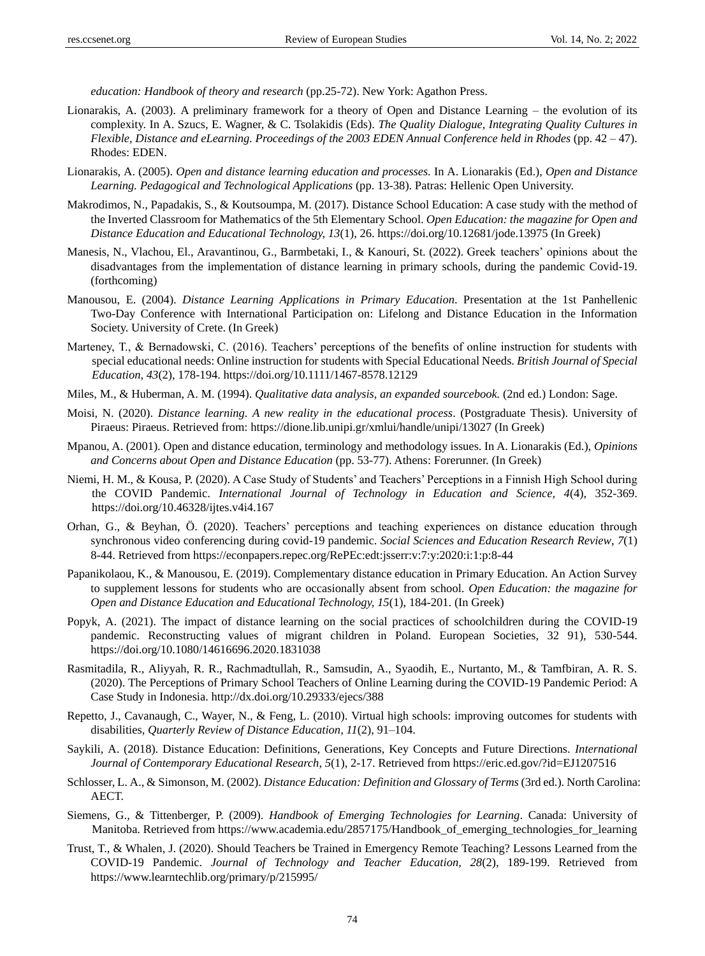*education: Handbook of theory and research* (pp.25-72). New York: Agathon Press.

- Lionarakis, A. (2003). A preliminary framework for a theory of Open and Distance Learning the evolution of its complexity. In A. Szucs, E. Wagner, & C. Tsolakidis (Eds). *The Quality Dialogue, Integrating Quality Cultures in Flexible, Distance and eLearning. Proceedings of the 2003 EDEN Annual Conference held in Rhodes* (pp. 42 – 47). Rhodes: EDEN.
- Lionarakis, A. (2005). *Open and distance learning education and processes.* In A. Lionarakis (Ed.), *Open and Distance Learning. Pedagogical and Technological Applications* (pp. 13-38). Patras: Hellenic Open University.
- Makrodimos, N., Papadakis, S., & Koutsoumpa, M. (2017). Distance School Education: A case study with the method of the Inverted Classroom for Mathematics of the 5th Elementary School. *Open Education: the magazine for Open and Distance Education and Educational Technology, 13*(1), 26.<https://doi.org/10.12681/jode.13975> (In Greek)
- Manesis, N., Vlachou, El., Aravantinou, G., Barmbetaki, I., & Kanouri, St. (2022). Greek teachers' opinions about the disadvantages from the implementation of distance learning in primary schools, during the pandemic Covid-19. (forthcoming)
- Manousou, E. (2004). *Distance Learning Applications in Primary Education*. Presentation at the 1st Panhellenic Two-Day Conference with International Participation on: Lifelong and Distance Education in the Information Society. University of Crete. (In Greek)
- [Marteney, T., & Bernadowski, C. \(2016\). Teachers' perceptions of the benefits of online instruction for students with](https://doi.org/10.1111/1467-8578.12129)  [special educational needs: Online instruction for students with Special Educational Needs.](https://doi.org/10.1111/1467-8578.12129) *[British Journal of Special](https://doi.org/10.1111/1467-8578.12129)  [Education, 43](https://doi.org/10.1111/1467-8578.12129)*(2), 178-194. <https://doi.org/10.1111/1467-8578.12129>
- Miles, M., & Huberman, A. M. (1994). *Qualitative data analysis, an expanded sourcebook.* (2nd ed.) London: Sage.
- Moisi, N. (2020). *Distance learning. A new reality in the educational process*. (Postgraduate Thesis). University of Piraeus: Piraeus. Retrieved from:<https://dione.lib.unipi.gr/xmlui/handle/unipi/13027> (In Greek)
- Mpanou, A. (2001). Open and distance education, terminology and methodology issues. In A. Lionarakis (Ed.), *Opinions and Concerns about Open and Distance Education* (pp. 53-77). Athens: Forerunner. (In Greek)
- [Niemi, H. M., & Kousa, P. \(2020\). A Case Study of Students' and Teachers' Perceptions in a Finnish High School during](https://doi.org/10.46328/ijtes.v4i4.167)  [the COVID Pandemic.](https://doi.org/10.46328/ijtes.v4i4.167) *[International Journal of Technology in Education and Science, 4](https://doi.org/10.46328/ijtes.v4i4.167)*(4), 352-369. <https://doi.org/10.46328/ijtes.v4i4.167>
- Orhan, G., & Beyhan, Ö. (2020). Teachers' perceptions and teaching experiences on distance education through synchronous video conferencing during covid-19 pandemic. *Social Sciences and Education Research Review*, *7*(1) 8-44. Retrieved from<https://econpapers.repec.org/RePEc:edt:jsserr:v:7:y:2020:i:1:p:8-44>
- Papanikolaou, K., & Manousou, E. (2019). Complementary distance education in Primary Education. An Action Survey to supplement lessons for students who are occasionally absent from school. *Open Education: the magazine for Open and Distance Education and Educational Technology, 15*(1), 184-201. (In Greek)
- Popyk, A. (2021). The impact of distance learning on the social practices of schoolchildren during the COVID-19 pandemic. Reconstructing values of migrant children in Poland. European Societies, 32 91), 530-544. <https://doi.org/10.1080/14616696.2020.1831038>
- Rasmitadila, R., Aliyyah, R. R., Rachmadtullah, R., Samsudin, A., Syaodih, E., Nurtanto, M., & Tamfbiran, A. R. S. (2020). The Perceptions of Primary School Teachers of Online Learning during the COVID-19 Pandemic Period: A Case Study in Indonesia[. http://dx.doi.org/10.29333/ejecs/388](http://dx.doi.org/10.29333/ejecs/388)
- Repetto, J., Cavanaugh, C., Wayer, N., & Feng, L. (2010). Virtual high schools: improving outcomes for students with disabilities, *Quarterly Review of Distance Education, 11*(2), 91–104.
- Saykili, A. (2018). Distance Education: Definitions, Generations, Key Concepts and Future Directions. *International Journal of Contemporary Educational Research*, *5*(1), 2-17. Retrieved from<https://eric.ed.gov/?id=EJ1207516>
- Schlosser, L. A., & Simonson, M. (2002). *Distance Education: Definition and Glossary of Terms* (3rd ed.). North Carolina: AECT.
- [Siemens, G., & Tittenberger, P. \(2009\).](https://www.academia.edu/2857175/Handbook_of_emerging_technologies_for_learning) *[Handbook of Emerging Technologies for Learning](https://www.academia.edu/2857175/Handbook_of_emerging_technologies_for_learning)*[. C](https://www.academia.edu/2857175/Handbook_of_emerging_technologies_for_learning)anada: University of Manitoba. Retrieved from [https://www.academia.edu/2857175/Handbook\\_of\\_emerging\\_technologies\\_for\\_learning](https://www.academia.edu/2857175/Handbook_of_emerging_technologies_for_learning)
- Trust, T., & Whalen, J. (2020). Should Teachers be Trained in Emergency Remote Teaching? Lessons Learned from the COVID-19 Pandemic. *Journal of Technology and Teacher Education, 28*(2), 189-199. Retrieved from <https://www.learntechlib.org/primary/p/215995/>